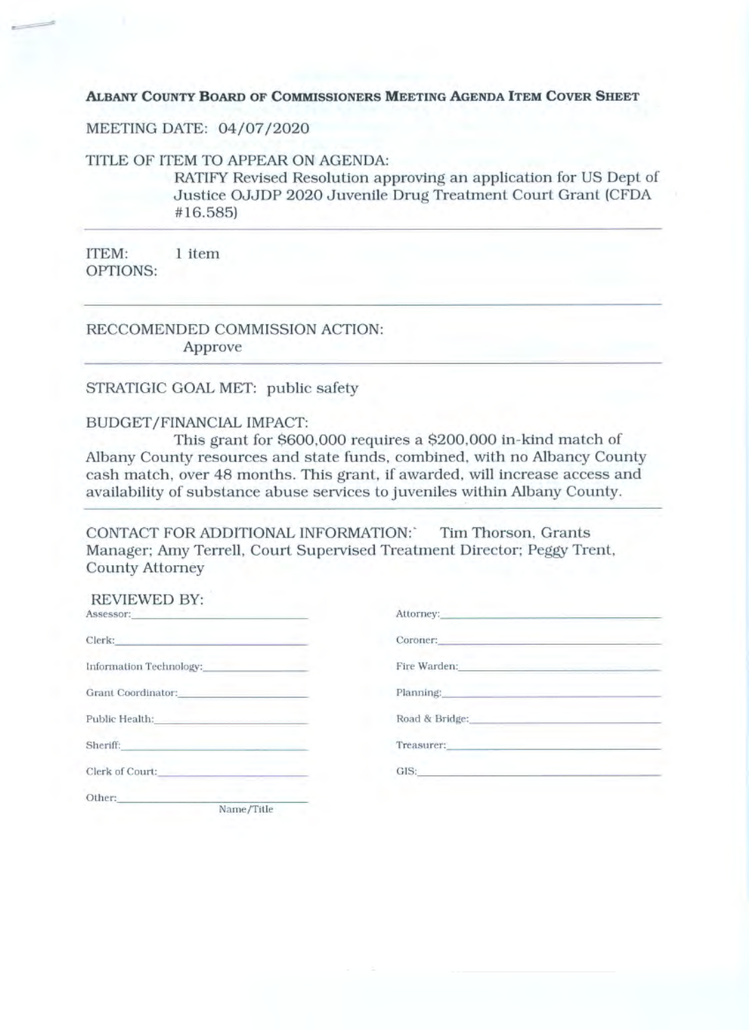ALBANY COUNTY BOARD OF COMMISSIONERS MEETING AGENDA ITEM COVER SHEET

MEETING DATE: 04/07/2020

TITLE OF ITEM TO APPEAR ON AGENDA:

RATIFY Revised Resolution approving an application for US Dept of Justice OJJDP 2020 Juvenile Drug Treatment Court Grant (CFDA #16.585)

ITEM: 1 item OPTIONS:

RECCOMENDED COMMISSION ACTION: Approve

#### STRATIGIC GOAL MET: public safety

### BUDGET/FINANCIAL IMPACT:

This grant for \$600,000 requires a \$200,000 in-kind match of Albany County resources and state funds, combined, with no Albancy County cash match, over 48 months. This grant, if awarded, will increase access and availability of substance abuse services to juveniles within Albany County.

CONTACT FOR ADDITIONAL INFORMATION: Tim Thorson. Grants Manager; Amy Terrell, Court Supervised Treatment Director; Peggy Trent, **County Attorney** 

| REVIEWED BY:<br>Assessor: <b>Assessor:</b>                                                                       | Attorney: and the contract of the contract of the contract of the contract of the contract of the contract of the contract of the contract of the contract of the contract of the contract of the contract of the contract of  |
|------------------------------------------------------------------------------------------------------------------|--------------------------------------------------------------------------------------------------------------------------------------------------------------------------------------------------------------------------------|
| Clerk: 2008 - 2008 - 2008 - 2008 - 2008 - 2008 - 2008 - 2008 - 2008 - 2008 - 2008 - 2008 - 2008 - 2008 - 2008    | Coroner: All Coroners and Coronaville and Coronaville and Coronaville and Coronaville and Coronaville and Coronaville                                                                                                          |
|                                                                                                                  | Fire Warden: The Contract of the Contract of the Contract of the Contract of the Contract of the Contract of the Contract of the Contract of the Contract of the Contract of the Contract of the Contract of the Contract of t |
| Grant Coordinator: The Coordinator Services of the Coordinator Services and Services of the Coordinator Services | Planning: Planning:                                                                                                                                                                                                            |
| Public Health: 2008 - 2008 - 2008 - 2019 - 2019 - 2019 - 2019 - 2019 - 2019 - 2019 - 2019 - 2019 - 2019 - 2019   | Road & Bridge: New York Prince and Security Prince and Security Prince and Security Prince and Security Prince and                                                                                                             |
| Sheriff:<br>the control of the control of the control of                                                         | Treasurer: The contract of the contract of the contract of the contract of the contract of the contract of the contract of the contract of the contract of the contract of the contract of the contract of the contract of the |
|                                                                                                                  | GIS: Experience of the contract of the contract of the contract of the contract of the contract of the contract of the contract of the contract of the contract of the contract of the contract of the contract of the contrac |
| Other:<br>Name/Title                                                                                             |                                                                                                                                                                                                                                |